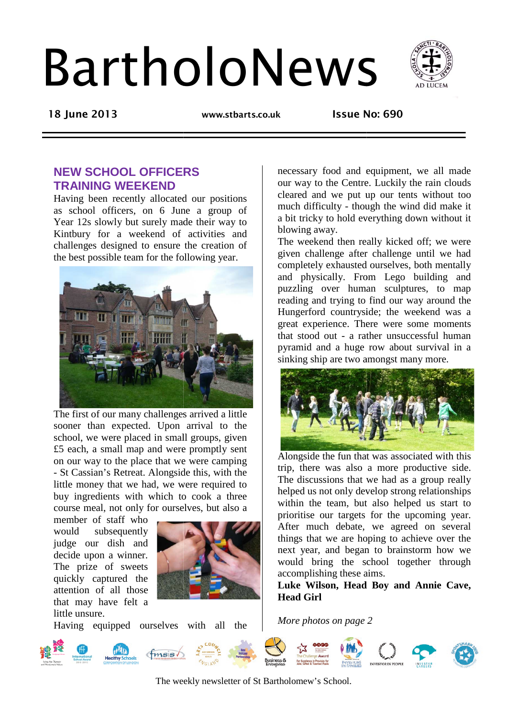# BartholoNews



**18 June 2013** 

 **www.stbarts.co.uk Issue No:** 

**Issue No: 690** 

# **NEW SCHOOL OFFICERS TRAINING WEEKEND**

Having been recently allocated our positions as school officers, on 6 June a group of Year 12s slowly but surely made their way to Kintbury for a weekend of activities and challenges designed to ensure the creation of the best possible team for the following year.



The first of our many challenges arrived a little sooner than expected. Upon arrival to the school, we were placed in small groups, given £5 each, a small map and were promptly sent on our way to the place that we were camping - St Cassian's Retreat. Alongside this, with the little money that we had, we were required to buy ingredients with which to cook a three course meal, not only for ourselves, but also a

member of staff who would subsequently judge our dish and decide upon a winner. The prize of sweets quickly captured the attention of all those that may have felt a little unsure.



Having equipped ourselves with all the

our way to the Centre. Luckily the rain clouds cleared and we put up our tents without too much difficulty - though the wind did make it our way to the Centre. Luckily the rain clouds<br>cleared and we put up our tents without too<br>much difficulty - though the wind did make it<br>a bit tricky to hold everything down without it blowing away. necessary food and equipment, we all made

The weekend then really kicked off; we were given challenge after challenge until we had completely exhausted ourselves, both mentally and physically. From Lego building and puzzling over human sculptures, to map reading and trying to find our way around the Hungerford countryside; the weekend was a great experience. There were some moments that stood out - a rather unsuccessful human pyramid and a huge row about survival in a sinking ship are two amongst many more.



Alongside the fun that was associated with this trip, there was also a more productive side. The discussions that we had as a group really helped us not only develop strong relationships within the team, but also helped us start to prioritise our targets for the upcoming year. After much debate, we agreed on several things that we are hoping to achieve over the next year, and began to brainstorm how we would bring the school together through accomplishing these aims.

**Luke Wilson, Head Boy and Annie Cave, Head Girl**

*More photos on page 2*



The weekly newsletter of St Bartholomew's School.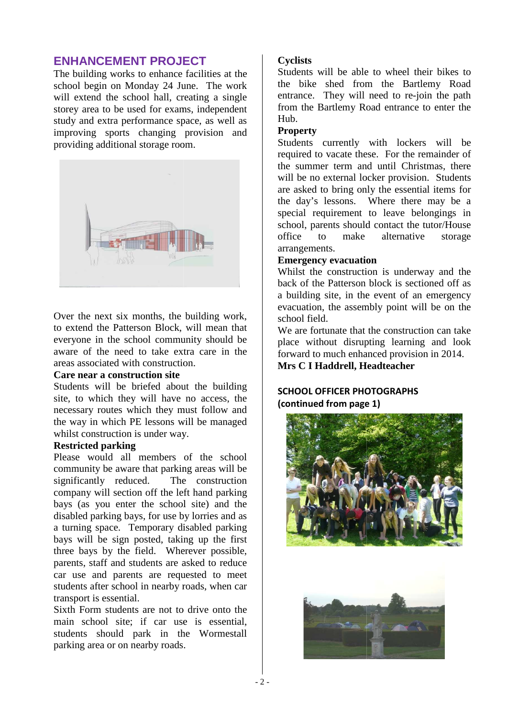## **ENHANCEMENT PROJECT**

The building works to enhance facilities at the school begin on Monday 24 June. The work will extend the school hall, creating a single storey area to be used for exams, independent study and extra performance space, as well as improving sports changing provision and providing additional storage room.



Over the next six months, the building work, to extend the Patterson Block, will mean that everyone in the school community should be aware of the need to take extra care in the areas associated with construction.

#### **Care near a construction site**

Students will be briefed about the building site, to which they will have no access, the necessary routes which they must follow and the way in which PE lessons will be managed whilst construction is under way.

#### **Restricted parking**

Please would all members of the school community be aware that parking areas will be significantly reduced. The construction company will section off the left hand parking bays (as you enter the school site) and the disabled parking bays, for use by lorries and as a turning space. Temporary disabled parking bays will be sign posted, taking up the first three bays by the field. Wherever possible, parents, staff and students are asked to reduce car use and parents are requested to meet students after school in nearby roads, when car transport is essential. ection off the left hand parking<br>enter the school site) and the<br>g bays, for use by lorries and as<br>. Temporary disabled parking<br>gn posted, taking up the first<br>the field. Wherever possible,<br>ad students are asked to reduce<br>ar

Sixth Form students are not to drive onto th main school site; if car use is essential, students should park in the Wormestall parking area or on nearby roads.

#### **Cyclists**

Students will be able to wheel their bikes to the bike shed from the Bartlemy Road entrance. They will need to re-join the path from the Bartlemy Road entrance to enter the Hub.

#### **Property**

Students currently with lockers will be required to vacate these. For the remainder of the summer term and until Christmas, there will be no external locker provision. Students are asked to bring only the essential items for the day's lessons. Where there may be a special requirement to leave belongings in school, parents should contact the tutor/House office to make alternative storage arrangements.

#### **Emergency evacuation vacuation**

Whilst the construction is underway and the back of the Patterson block is sectioned off as a building site, in the event of an emergency evacuation, the assembly point will be on the school field.

We are fortunate that the construction can take place without disrupting learning and look forward to much enhanced provision in 2014. **Mrs C I Haddrell, Headteacher**

## **SCHOOL OFFICER PHOTOGRAPHS (continued from page 1)**



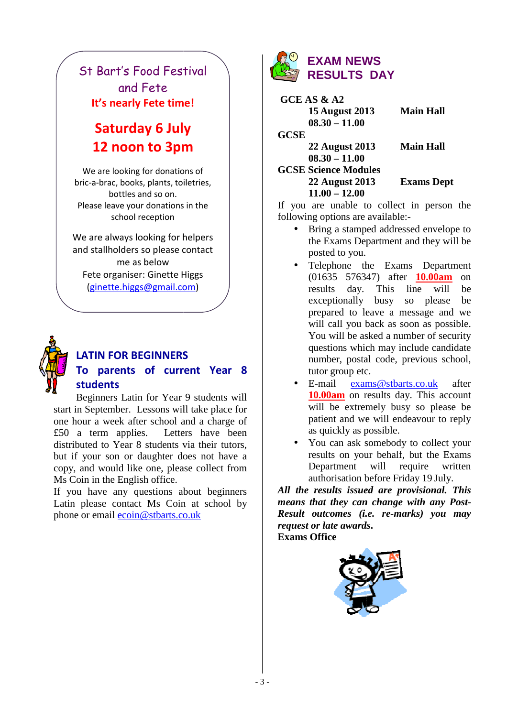# St Bart's Food Festival and Fete **It's nearly Fete time!**

# **Saturday 6 July 12 noon to 3pm**

We are looking for donations of bric-a-brac, books, plants, toiletries, bottles and so on. Please leave your donations in the school reception

We are always looking for helpers and stallholders so please contact me as below Fete organiser: Ginette Higgs (ginette.higgs@gmail.co ginette.higgs@gmail.com)



# **LATIN FOR BEGINNERS To parents of current Year 8 students**

Beginners Latin for Year 9 students will start in September. Lessons will take place for one hour a week after school and a charge of £50 a term applies. Letters have been distributed to Year 8 students via their tutors, but if your son or daughter does not have a copy, and would like one, please collect from Ms Coin in the English office.

If you have any questions about beginners Latin please contact Ms Coin at school by phone or email ecoin@stbarts.co.uk



 **GCE AS & A2 15 August 2013 08.30 – 11.00**

**22 August 2013**

**GCSE** 

 **08.30 – 11.00 GCSE Science Modules Modules 22 August 2013**

**2013 Main Hall** 

**2013 Main Hall** 

 **11.00 – 12.00**

**Exams Dept** 

If you are unable to collect in person the following options are available:-

- Bring a stamped addressed envelope to the Exams Dep Department and they will be posted to you.
- the SEGINNERS<br>
11 THAT SERIENT SPACE SAS AND THAT SPACE SERIES DANGER SERIES DANGER SERIES TO SERIES AND THAT SAULTS DANGER SERIES 21 Algust 2013<br>
11 THAT SAULTS DANGER SERIES 22 August 2013<br>
11.00<br>
11.00 OR SASA 11.00<br> • Telephone the Exams Dep Department (01635 576347) after **10.00am** on results day. This line will be exceptionally busy so please be prepared to leave a message and we will call you back as soon as possible. You will be asked a number of security questions which may include candidate number, postal code, previous school, tutor group etc.
	- E-mail exams@stbarts.co.uk after **10.00am** on results day. This account will be extremely busy so please be patient and we will endeavour to reply as quickly as possible.
	- You can ask somebody to collect your results on your behalf, but the Exams Department authorisation before before Friday 19 July. will require written

*All the results issued are p provisional. This means that they can change with any Post Post-Result outcomes (i.e. re re-marks) you may request or late awards* **. Exams Office** 

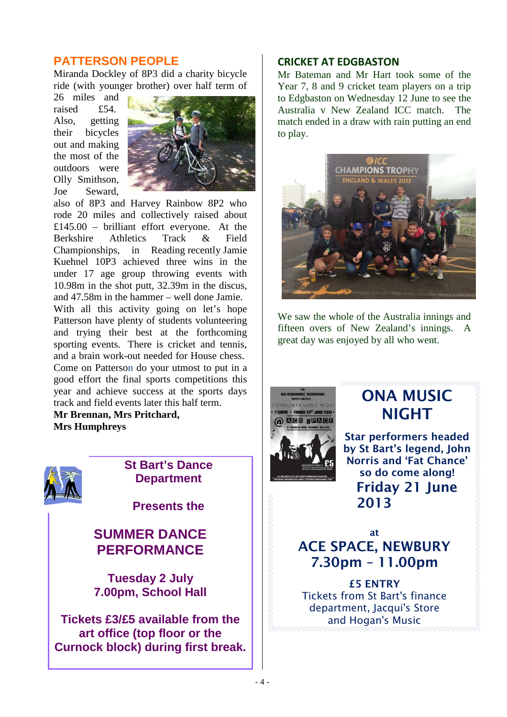## **PATTERSON PEOPLE**

Miranda Dockley of 8P3 did a charity bicycle ride (with younger brother) over half term of

26 miles and raised £54. Also, getting their bicycles out and making the most of the outdoors were Olly Smithson, Joe Seward,



also of 8P3 and Harvey Rainbow 8P2 who rode 20 miles and collectively raised about £145.00 – brilliant effort everyone. At the Berkshire Athletics Track & Field Championships, in Reading recently Jamie Kuehnel 10P3 achieved three wins in the under 17 age group throwing events with 10.98m in the shot putt, 32.39m in the discus, and 47.58m in the hammer – well done Jamie. With all this activity going on let's hope Patterson have plenty of students volunteering and trying their best at the forthcoming sporting events. There is cricket and tennis, and a brain work-out needed for House chess. Come on Patterson do your utmost to put in a good effort the final sports competitions this year and achieve success at the sports days track and field events later this half term.

**Mr Brennan, Mrs Pritchard, Mrs Humphreys** 



# **St Bart's Dance Department**

**Presents the** 

# **SUMMER DANCE PERFORMANCE**

**Tuesday 2 July 7.00pm, School Hall** 

**Tickets £3/£5 available from the art office (top floor or the Curnock block) during first break.** 

## **CRICKET AT EDGBASTON**

Mr Bateman and Mr Hart took some of the Year 7, 8 and 9 cricket team players on a trip to Edgbaston on Wednesday 12 June to see the Australia v New Zealand ICC match. The match ended in a draw with rain putting an end to play.



We saw the whole of the Australia innings and fifteen overs of New Zealand's innings. A great day was enjoyed by all who went.



# **ONA MUSIC NIGHT**

**Star performers headed by St Bart's legend, John Norris and 'Fat Chance' so do come along! Friday 21 June 2013** 

**at ACE SPACE, NEWBURY 7.30pm – 11.00pm** 

**£5 ENTRY**  Tickets from St Bart's finance department, Jacqui's Store and Hogan's Music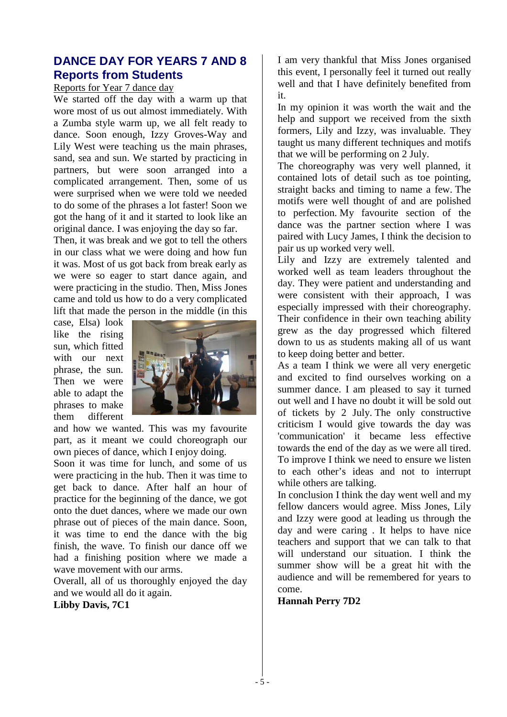# **DANCE DAY FOR YEARS 7 AND 8 Reports from Students**

#### Reports for Year 7 dance day

We started off the day with a warm up that wore most of us out almost immediately. With a Zumba style warm up, we all felt ready to dance. Soon enough, Izzy Groves-Way and Lily West were teaching us the main phrases, sand, sea and sun. We started by practicing in partners, but were soon arranged into a complicated arrangement. Then, some of us were surprised when we were told we needed to do some of the phrases a lot faster! Soon we got the hang of it and it started to look like an original dance. I was enjoying the day so far.

Then, it was break and we got to tell the others in our class what we were doing and how fun it was. Most of us got back from break early as we were so eager to start dance again, and were practicing in the studio. Then, Miss Jones came and told us how to do a very complicated lift that made the person in the middle (in this

case, Elsa) look like the rising sun, which fitted with our next phrase, the sun. Then we were able to adapt the phrases to make them different



and how we wanted. This was my favourite part, as it meant we could choreograph our own pieces of dance, which I enjoy doing.

Soon it was time for lunch, and some of us were practicing in the hub. Then it was time to get back to dance. After half an hour of practice for the beginning of the dance, we got onto the duet dances, where we made our own phrase out of pieces of the main dance. Soon, it was time to end the dance with the big finish, the wave. To finish our dance off we had a finishing position where we made a wave movement with our arms.

Overall, all of us thoroughly enjoyed the day and we would all do it again.

**Libby Davis, 7C1** 

I am very thankful that Miss Jones organised this event, I personally feel it turned out really well and that I have definitely benefited from it.

In my opinion it was worth the wait and the help and support we received from the sixth formers, Lily and Izzy, was invaluable. They taught us many different techniques and motifs that we will be performing on 2 July.

The choreography was very well planned, it contained lots of detail such as toe pointing, straight backs and timing to name a few. The motifs were well thought of and are polished to perfection. My favourite section of the dance was the partner section where I was paired with Lucy James, I think the decision to pair us up worked very well.

Lily and Izzy are extremely talented and worked well as team leaders throughout the day. They were patient and understanding and were consistent with their approach, I was especially impressed with their choreography. Their confidence in their own teaching ability grew as the day progressed which filtered down to us as students making all of us want to keep doing better and better.

As a team I think we were all very energetic and excited to find ourselves working on a summer dance. I am pleased to say it turned out well and I have no doubt it will be sold out of tickets by 2 July. The only constructive criticism I would give towards the day was 'communication' it became less effective towards the end of the day as we were all tired. To improve I think we need to ensure we listen to each other's ideas and not to interrupt while others are talking.

In conclusion I think the day went well and my fellow dancers would agree. Miss Jones, Lily and Izzy were good at leading us through the day and were caring . It helps to have nice teachers and support that we can talk to that will understand our situation. I think the summer show will be a great hit with the audience and will be remembered for years to come.

**Hannah Perry 7D2**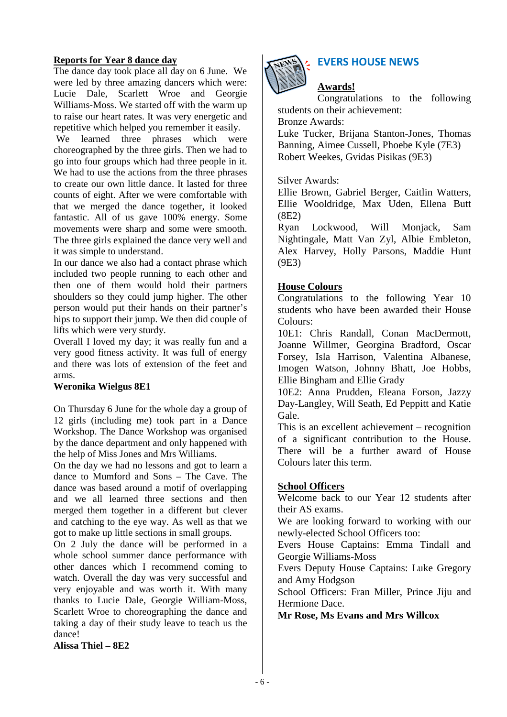#### **Reports for Year 8 dance day**

The dance day took place all day on 6 June. We were led by three amazing dancers which were: Lucie Dale, Scarlett Wroe and Georgie Williams-Moss. We started off with the warm up to raise our heart rates. It was very energetic and repetitive which helped you remember it easily.

 We learned three phrases which were choreographed by the three girls. Then we had to go into four groups which had three people in it. We had to use the actions from the three phrases to create our own little dance. It lasted for three counts of eight. After we were comfortable with that we merged the dance together, it looked fantastic. All of us gave 100% energy. Some movements were sharp and some were smooth. The three girls explained the dance very well and it was simple to understand.

In our dance we also had a contact phrase which included two people running to each other and then one of them would hold their partners shoulders so they could jump higher. The other person would put their hands on their partner's hips to support their jump. We then did couple of lifts which were very sturdy.

Overall I loved my day; it was really fun and a very good fitness activity. It was full of energy and there was lots of extension of the feet and arms.

#### **Weronika Wielgus 8E1**

On Thursday 6 June for the whole day a group of 12 girls (including me) took part in a Dance Workshop. The Dance Workshop was organised by the dance department and only happened with the help of Miss Jones and Mrs Williams.

On the day we had no lessons and got to learn a dance to Mumford and Sons – The Cave. The dance was based around a motif of overlapping and we all learned three sections and then merged them together in a different but clever and catching to the eye way. As well as that we got to make up little sections in small groups.

On 2 July the dance will be performed in a whole school summer dance performance with other dances which I recommend coming to watch. Overall the day was very successful and very enjoyable and was worth it. With many thanks to Lucie Dale, Georgie William-Moss, Scarlett Wroe to choreographing the dance and taking a day of their study leave to teach us the dance!

**Alissa Thiel – 8E2** 



# **EVERS HOUSE NEWS**

## **Awards!**

Congratulations to the following students on their achievement:

Bronze Awards:

Luke Tucker, Brijana Stanton-Jones, Thomas Banning, Aimee Cussell, Phoebe Kyle (7E3) Robert Weekes, Gvidas Pisikas (9E3)

#### Silver Awards:

Ellie Brown, Gabriel Berger, Caitlin Watters, Ellie Wooldridge, Max Uden, Ellena Butt (8E2)

Ryan Lockwood, Will Monjack, Sam Nightingale, Matt Van Zyl, Albie Embleton, Alex Harvey, Holly Parsons, Maddie Hunt (9E3)

### **House Colours**

Congratulations to the following Year 10 students who have been awarded their House Colours:

10E1: Chris Randall, Conan MacDermott, Joanne Willmer, Georgina Bradford, Oscar Forsey, Isla Harrison, Valentina Albanese, Imogen Watson, Johnny Bhatt, Joe Hobbs, Ellie Bingham and Ellie Grady

10E2: Anna Prudden, Eleana Forson, Jazzy Day-Langley, Will Seath, Ed Peppitt and Katie Gale.

This is an excellent achievement – recognition of a significant contribution to the House. There will be a further award of House Colours later this term.

#### **School Officers**

Welcome back to our Year 12 students after their AS exams.

We are looking forward to working with our newly-elected School Officers too:

Evers House Captains: Emma Tindall and Georgie Williams-Moss

Evers Deputy House Captains: Luke Gregory and Amy Hodgson

School Officers: Fran Miller, Prince Jiju and Hermione Dace.

**Mr Rose, Ms Evans and Mrs Willcox**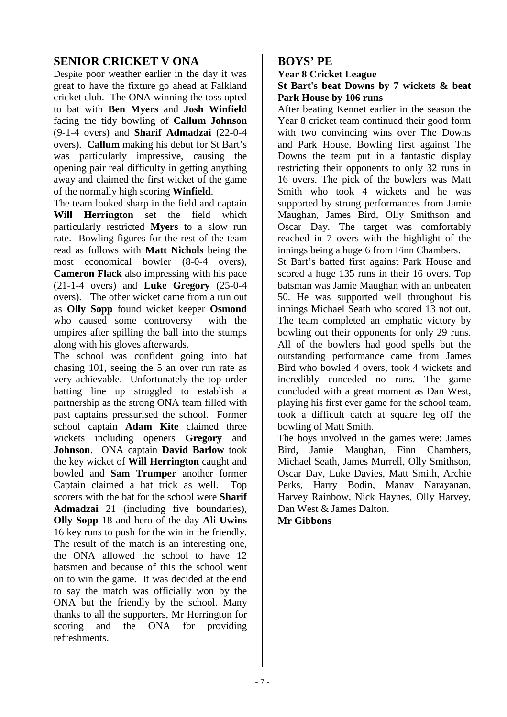## **SENIOR CRICKET V ONA**

Despite poor weather earlier in the day it was great to have the fixture go ahead at Falkland cricket club. The ONA winning the toss opted to bat with **Ben Myers** and **Josh Winfield** facing the tidy bowling of **Callum Johnson** (9-1-4 overs) and **Sharif Admadzai** (22**-**0-4 overs). **Callum** making his debut for St Bart's was particularly impressive, causing the opening pair real difficulty in getting anything away and claimed the first wicket of the game of the normally high scoring **Winfield**.

The team looked sharp in the field and captain **Will Herrington** set the field which particularly restricted **Myers** to a slow run rate. Bowling figures for the rest of the team read as follows with **Matt Nichols** being the most economical bowler (8-0-4 overs), **Cameron Flack** also impressing with his pace (21-1-4 overs) and **Luke Gregory** (25-0-4 overs). The other wicket came from a run out as **Olly Sopp** found wicket keeper **Osmond**  who caused some controversy with the umpires after spilling the ball into the stumps along with his gloves afterwards.

The school was confident going into bat chasing 101, seeing the 5 an over run rate as very achievable. Unfortunately the top order batting line up struggled to establish a partnership as the strong ONA team filled with past captains pressurised the school. Former school captain **Adam Kite** claimed three wickets including openers **Gregory** and **Johnson**. ONA captain **David Barlow** took the key wicket of **Will Herrington** caught and bowled and **Sam Trumper** another former Captain claimed a hat trick as well. Top scorers with the bat for the school were **Sharif Admadzai** 21 (including five boundaries), **Olly Sopp** 18 and hero of the day **Ali Uwins** 16 key runs to push for the win in the friendly. The result of the match is an interesting one, the ONA allowed the school to have 12 batsmen and because of this the school went on to win the game. It was decided at the end to say the match was officially won by the ONA but the friendly by the school. Many thanks to all the supporters, Mr Herrington for scoring and the ONA for providing refreshments.

## **BOYS' PE**

#### **Year 8 Cricket League**

#### **St Bart's beat Downs by 7 wickets & beat Park House by 106 runs**

After beating Kennet earlier in the season the Year 8 cricket team continued their good form with two convincing wins over The Downs and Park House. Bowling first against The Downs the team put in a fantastic display restricting their opponents to only 32 runs in 16 overs. The pick of the bowlers was Matt Smith who took 4 wickets and he was supported by strong performances from Jamie Maughan, James Bird, Olly Smithson and Oscar Day. The target was comfortably reached in 7 overs with the highlight of the innings being a huge 6 from Finn Chambers.

St Bart's batted first against Park House and scored a huge 135 runs in their 16 overs. Top batsman was Jamie Maughan with an unbeaten 50. He was supported well throughout his innings Michael Seath who scored 13 not out. The team completed an emphatic victory by bowling out their opponents for only 29 runs. All of the bowlers had good spells but the outstanding performance came from James Bird who bowled 4 overs, took 4 wickets and incredibly conceded no runs. The game concluded with a great moment as Dan West, playing his first ever game for the school team, took a difficult catch at square leg off the bowling of Matt Smith.

The boys involved in the games were: James Bird, Jamie Maughan, Finn Chambers, Michael Seath, James Murrell, Olly Smithson, Oscar Day, Luke Davies, Matt Smith, Archie Perks, Harry Bodin, Manav Narayanan, Harvey Rainbow, Nick Haynes, Olly Harvey, Dan West & James Dalton.

**Mr Gibbons**